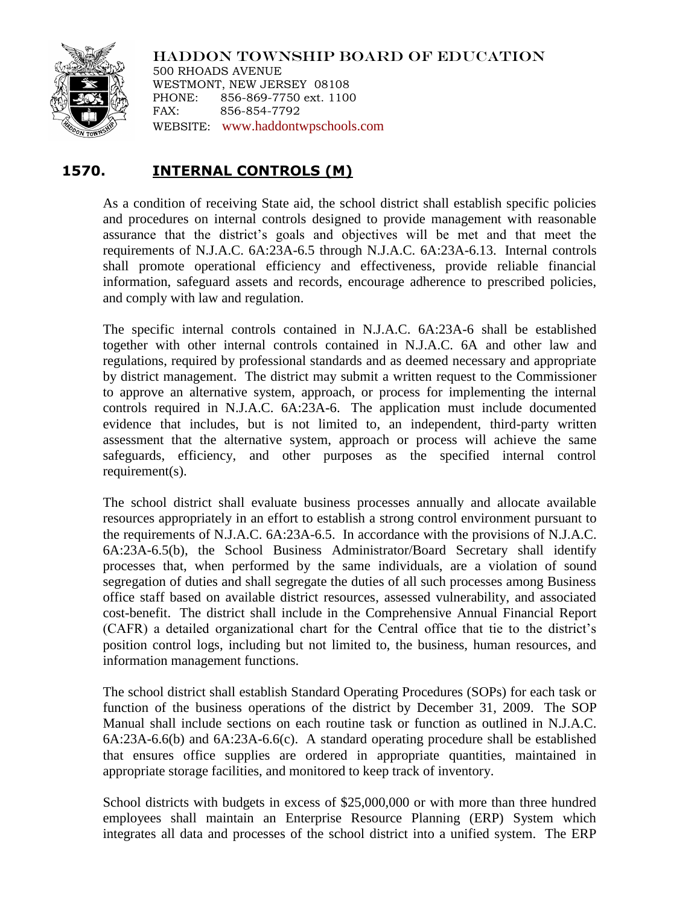

HADDON TOWNSHIP BOARD OF EDUCATION 500 RHOADS AVENUE WESTMONT, NEW JERSEY 08108 PHONE: 856-869-7750 ext. 1100 FAX: 856-854-7792 WEBSITE: [www.haddontwpschools.com](http://www.haddontwpschools.com/)

## **1570. INTERNAL CONTROLS (M)**

As a condition of receiving State aid, the school district shall establish specific policies and procedures on internal controls designed to provide management with reasonable assurance that the district's goals and objectives will be met and that meet the requirements of N.J.A.C. 6A:23A-6.5 through N.J.A.C. 6A:23A-6.13. Internal controls shall promote operational efficiency and effectiveness, provide reliable financial information, safeguard assets and records, encourage adherence to prescribed policies, and comply with law and regulation.

The specific internal controls contained in N.J.A.C. 6A:23A-6 shall be established together with other internal controls contained in N.J.A.C. 6A and other law and regulations, required by professional standards and as deemed necessary and appropriate by district management. The district may submit a written request to the Commissioner to approve an alternative system, approach, or process for implementing the internal controls required in N.J.A.C. 6A:23A-6. The application must include documented evidence that includes, but is not limited to, an independent, third-party written assessment that the alternative system, approach or process will achieve the same safeguards, efficiency, and other purposes as the specified internal control requirement(s).

The school district shall evaluate business processes annually and allocate available resources appropriately in an effort to establish a strong control environment pursuant to the requirements of N.J.A.C. 6A:23A-6.5. In accordance with the provisions of N.J.A.C. 6A:23A-6.5(b), the School Business Administrator/Board Secretary shall identify processes that, when performed by the same individuals, are a violation of sound segregation of duties and shall segregate the duties of all such processes among Business office staff based on available district resources, assessed vulnerability, and associated cost-benefit. The district shall include in the Comprehensive Annual Financial Report (CAFR) a detailed organizational chart for the Central office that tie to the district's position control logs, including but not limited to, the business, human resources, and information management functions.

The school district shall establish Standard Operating Procedures (SOPs) for each task or function of the business operations of the district by December 31, 2009. The SOP Manual shall include sections on each routine task or function as outlined in N.J.A.C. 6A:23A-6.6(b) and 6A:23A-6.6(c). A standard operating procedure shall be established that ensures office supplies are ordered in appropriate quantities, maintained in appropriate storage facilities, and monitored to keep track of inventory.

School districts with budgets in excess of \$25,000,000 or with more than three hundred employees shall maintain an Enterprise Resource Planning (ERP) System which integrates all data and processes of the school district into a unified system. The ERP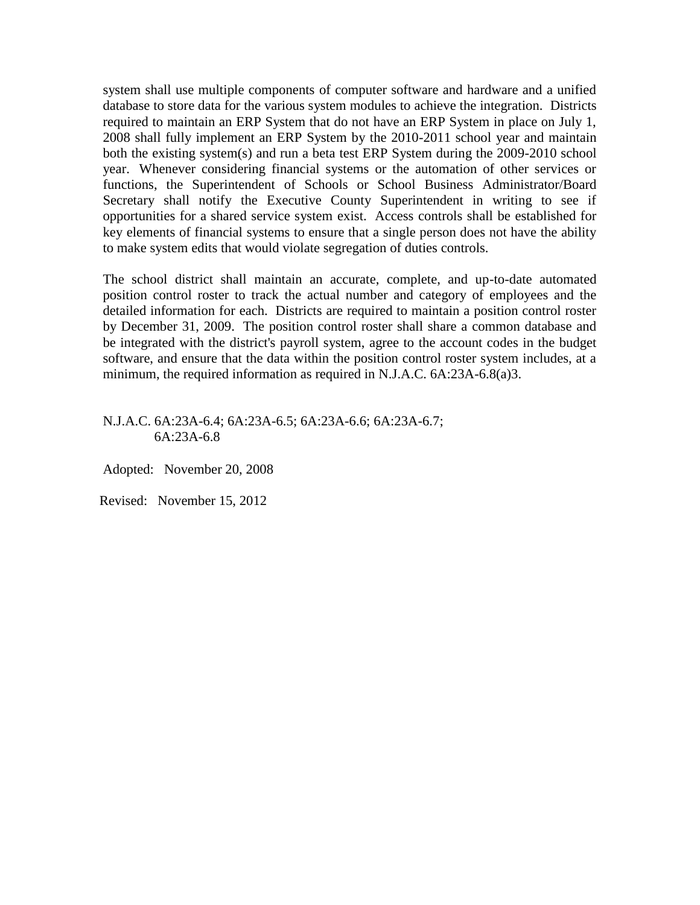system shall use multiple components of computer software and hardware and a unified database to store data for the various system modules to achieve the integration. Districts required to maintain an ERP System that do not have an ERP System in place on July 1, 2008 shall fully implement an ERP System by the 2010-2011 school year and maintain both the existing system(s) and run a beta test ERP System during the 2009-2010 school year. Whenever considering financial systems or the automation of other services or functions, the Superintendent of Schools or School Business Administrator/Board Secretary shall notify the Executive County Superintendent in writing to see if opportunities for a shared service system exist. Access controls shall be established for key elements of financial systems to ensure that a single person does not have the ability to make system edits that would violate segregation of duties controls.

The school district shall maintain an accurate, complete, and up-to-date automated position control roster to track the actual number and category of employees and the detailed information for each. Districts are required to maintain a position control roster by December 31, 2009. The position control roster shall share a common database and be integrated with the district's payroll system, agree to the account codes in the budget software, and ensure that the data within the position control roster system includes, at a minimum, the required information as required in N.J.A.C. 6A:23A-6.8(a)3.

N.J.A.C. 6A:23A-6.4; 6A:23A-6.5; 6A:23A-6.6; 6A:23A-6.7; 6A:23A-6.8

Adopted: November 20, 2008

Revised: November 15, 2012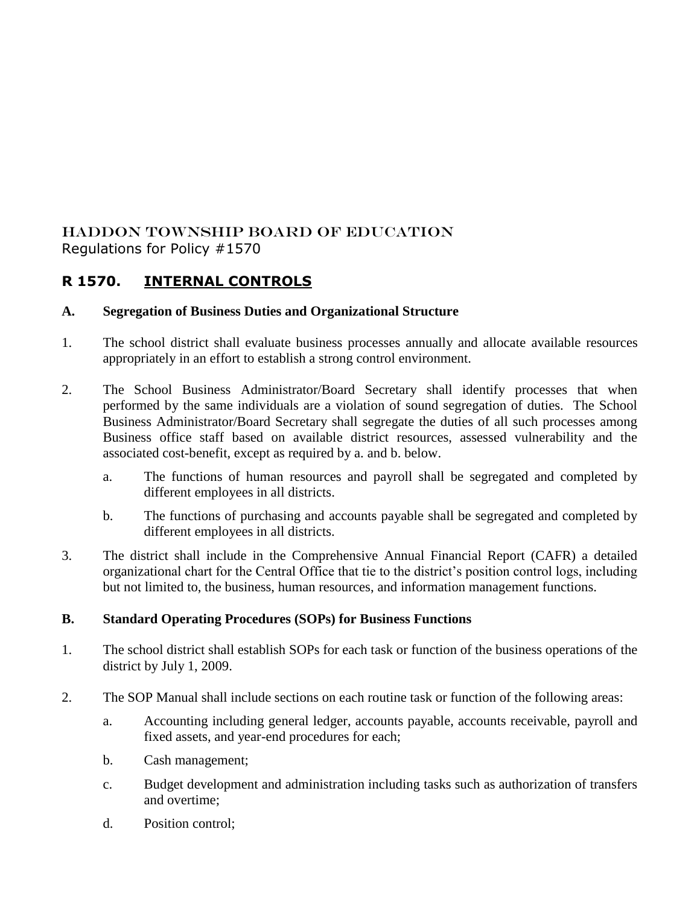## HADDON TOWNSHIP BOARD OF EDUCATION Regulations for Policy #1570

# **R 1570. INTERNAL CONTROLS**

### **A. Segregation of Business Duties and Organizational Structure**

- 1. The school district shall evaluate business processes annually and allocate available resources appropriately in an effort to establish a strong control environment.
- 2. The School Business Administrator/Board Secretary shall identify processes that when performed by the same individuals are a violation of sound segregation of duties. The School Business Administrator/Board Secretary shall segregate the duties of all such processes among Business office staff based on available district resources, assessed vulnerability and the associated cost-benefit, except as required by a. and b. below.
	- a. The functions of human resources and payroll shall be segregated and completed by different employees in all districts.
	- b. The functions of purchasing and accounts payable shall be segregated and completed by different employees in all districts.
- 3. The district shall include in the Comprehensive Annual Financial Report (CAFR) a detailed organizational chart for the Central Office that tie to the district's position control logs, including but not limited to, the business, human resources, and information management functions.

#### **B. Standard Operating Procedures (SOPs) for Business Functions**

- 1. The school district shall establish SOPs for each task or function of the business operations of the district by July 1, 2009.
- 2. The SOP Manual shall include sections on each routine task or function of the following areas:
	- a. Accounting including general ledger, accounts payable, accounts receivable, payroll and fixed assets, and year-end procedures for each;
	- b. Cash management;
	- c. Budget development and administration including tasks such as authorization of transfers and overtime;
	- d. Position control;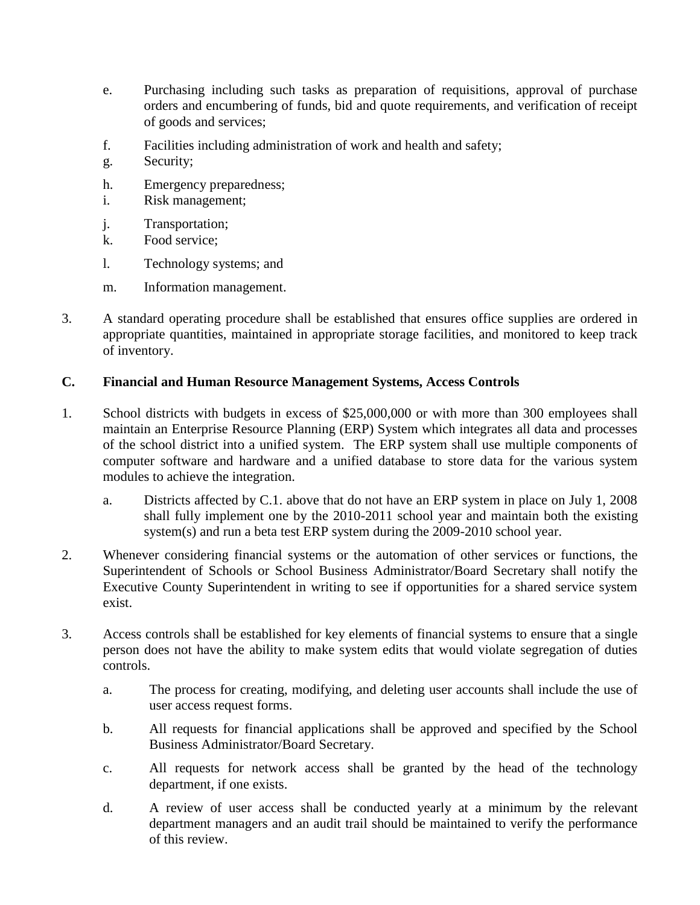- e. Purchasing including such tasks as preparation of requisitions, approval of purchase orders and encumbering of funds, bid and quote requirements, and verification of receipt of goods and services;
- f. Facilities including administration of work and health and safety;
- g. Security;
- h. Emergency preparedness;
- i. Risk management;
- j. Transportation;
- k. Food service;
- l. Technology systems; and
- m. Information management.
- 3. A standard operating procedure shall be established that ensures office supplies are ordered in appropriate quantities, maintained in appropriate storage facilities, and monitored to keep track of inventory.

#### **C. Financial and Human Resource Management Systems, Access Controls**

- 1. School districts with budgets in excess of \$25,000,000 or with more than 300 employees shall maintain an Enterprise Resource Planning (ERP) System which integrates all data and processes of the school district into a unified system. The ERP system shall use multiple components of computer software and hardware and a unified database to store data for the various system modules to achieve the integration.
	- a. Districts affected by C.1. above that do not have an ERP system in place on July 1, 2008 shall fully implement one by the 2010-2011 school year and maintain both the existing system(s) and run a beta test ERP system during the 2009-2010 school year.
- 2. Whenever considering financial systems or the automation of other services or functions, the Superintendent of Schools or School Business Administrator/Board Secretary shall notify the Executive County Superintendent in writing to see if opportunities for a shared service system exist.
- 3. Access controls shall be established for key elements of financial systems to ensure that a single person does not have the ability to make system edits that would violate segregation of duties controls.
	- a. The process for creating, modifying, and deleting user accounts shall include the use of user access request forms.
	- b. All requests for financial applications shall be approved and specified by the School Business Administrator/Board Secretary.
	- c. All requests for network access shall be granted by the head of the technology department, if one exists.
	- d. A review of user access shall be conducted yearly at a minimum by the relevant department managers and an audit trail should be maintained to verify the performance of this review.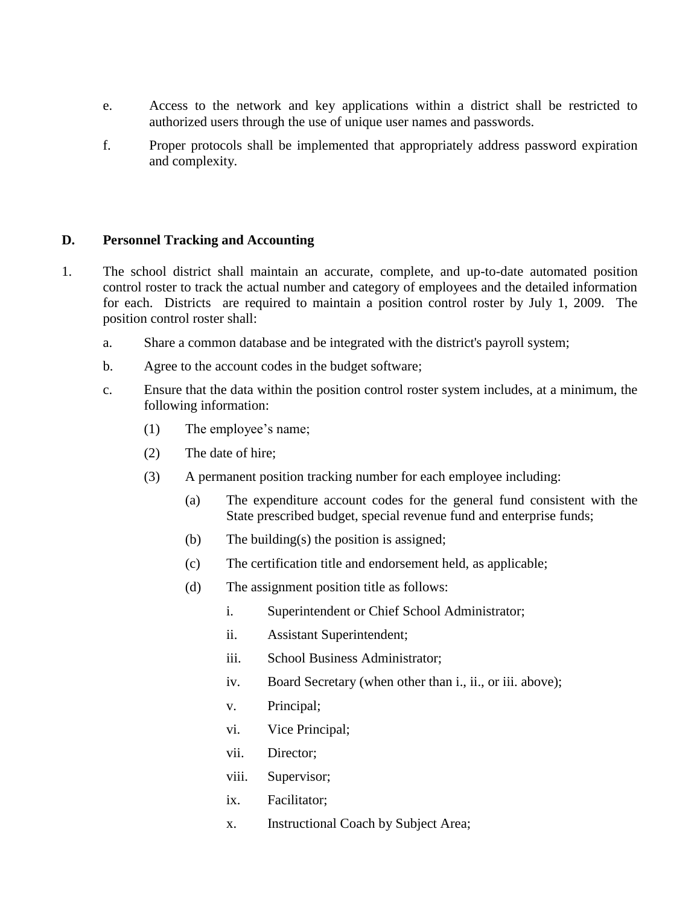- e. Access to the network and key applications within a district shall be restricted to authorized users through the use of unique user names and passwords.
- f. Proper protocols shall be implemented that appropriately address password expiration and complexity.

#### **D. Personnel Tracking and Accounting**

- 1. The school district shall maintain an accurate, complete, and up-to-date automated position control roster to track the actual number and category of employees and the detailed information for each. Districts are required to maintain a position control roster by July 1, 2009. The position control roster shall:
	- a. Share a common database and be integrated with the district's payroll system;
	- b. Agree to the account codes in the budget software;
	- c. Ensure that the data within the position control roster system includes, at a minimum, the following information:
		- (1) The employee's name;
		- (2) The date of hire;
		- (3) A permanent position tracking number for each employee including:
			- (a) The expenditure account codes for the general fund consistent with the State prescribed budget, special revenue fund and enterprise funds;
			- (b) The building(s) the position is assigned;
			- (c) The certification title and endorsement held, as applicable;
			- (d) The assignment position title as follows:
				- i. Superintendent or Chief School Administrator;
				- ii. Assistant Superintendent;
				- iii. School Business Administrator;
				- iv. Board Secretary (when other than i., ii., or iii. above);
				- v. Principal;
				- vi. Vice Principal;
				- vii. Director;
				- viii. Supervisor;
				- ix. Facilitator;
				- x. Instructional Coach by Subject Area;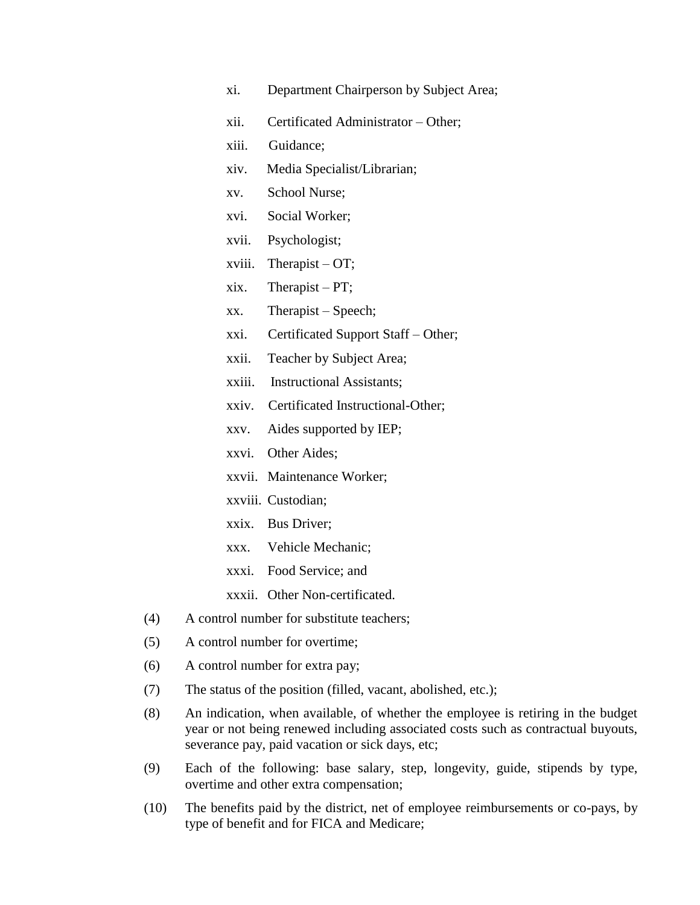- xi. Department Chairperson by Subject Area;
- xii. Certificated Administrator Other;
- xiii. Guidance;
- xiv. Media Specialist/Librarian;
- xv. School Nurse;
- xvi. Social Worker;
- xvii. Psychologist;
- xviii. Therapist OT;
- xix. Therapist PT;
- xx. Therapist Speech;
- xxi. Certificated Support Staff Other;
- xxii. Teacher by Subject Area;
- xxiii. Instructional Assistants;
- xxiv. Certificated Instructional-Other;
- xxv. Aides supported by IEP;
- xxvi. Other Aides;
- xxvii. Maintenance Worker;
- xxviii. Custodian;
- xxix. Bus Driver;
- xxx. Vehicle Mechanic;
- xxxi. Food Service; and
- xxxii. Other Non-certificated.
- (4) A control number for substitute teachers;
- (5) A control number for overtime;
- (6) A control number for extra pay;
- (7) The status of the position (filled, vacant, abolished, etc.);
- (8) An indication, when available, of whether the employee is retiring in the budget year or not being renewed including associated costs such as contractual buyouts, severance pay, paid vacation or sick days, etc;
- (9) Each of the following: base salary, step, longevity, guide, stipends by type, overtime and other extra compensation;
- (10) The benefits paid by the district, net of employee reimbursements or co-pays, by type of benefit and for FICA and Medicare;